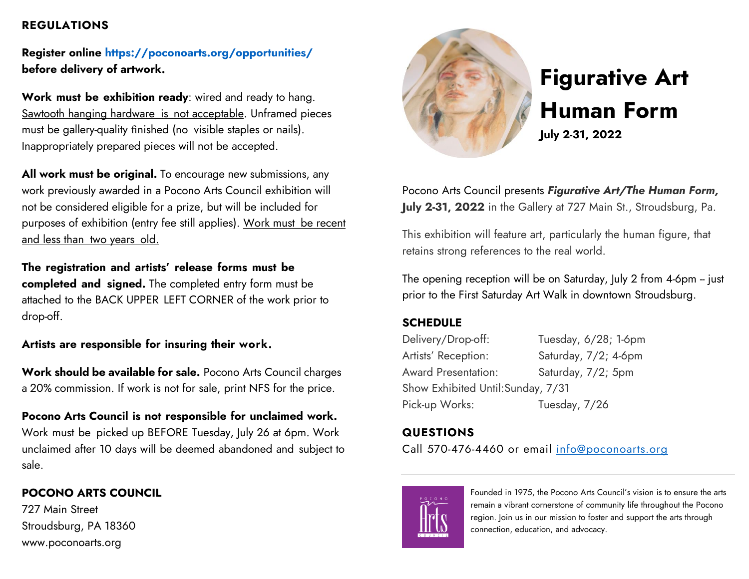#### **REGULATIONS**

**Register online [https://poconoarts.org/opportunities/](about:blank) before delivery of artwork.**

**Work must be exhibition ready**: wired and ready to hang. Sawtooth hanging hardware is not acceptable. Unframed pieces must be gallery-quality finished (no visible staples or nails). Inappropriately prepared pieces will not be accepted.

**All work must be original.** To encourage new submissions, any work previously awarded in a Pocono Arts Council exhibition will not be considered eligible for a prize, but will be included for purposes of exhibition (entry fee still applies). Work must be recent and less than two years old.

**The registration and artists' release forms must be completed and signed.** The completed entry form must be attached to the BACK UPPER LEFT CORNER of the work prior to drop-off.

**Artists are responsible for insuring their work.**

**Work should be available for sale.** Pocono Arts Council charges a 20% commission. If work is not for sale, print NFS for the price.

**Pocono Arts Council is not responsible for unclaimed work.** Work must be picked up BEFORE Tuesday, July 26 at 6pm. Work unclaimed after 10 days will be deemed abandoned and subject to sale.

# **POCONO ARTS COUNCIL**

727 Main Street Stroudsburg, PA 18360 www.poconoarts.org



# **Figurative Art Human Form**

**July 2-31, 2022**

Pocono Arts Council presents *Figurative Art/The Human Form,* **July 2-31, 2022** in the Gallery at 727 Main St., Stroudsburg, Pa.

This exhibition will feature art, particularly the human figure, that retains strong references to the real world.

The opening reception will be on Saturday, July 2 from 4-6pm -- just prior to the First Saturday Art Walk in downtown Stroudsburg.

## **SCHEDULE**

Delivery/Drop-off: Tuesday, 6/28; 1-6pm Artists' Reception: Saturday, 7/2; 4-6pm Award Presentation: Saturday, 7/2; 5pm Show Exhibited Until:Sunday, 7/31 Pick-up Works: Tuesday, 7/26

# **QUESTIONS**

Call 570-476-4460 or email [info@poconoarts.org](mailto:info@poconoarts.org)



Founded in 1975, the Pocono Arts Council's vision is to ensure the arts remain a vibrant cornerstone of community life throughout the Pocono region. Join us in our mission to foster and support the arts through connection, education, and advocacy.